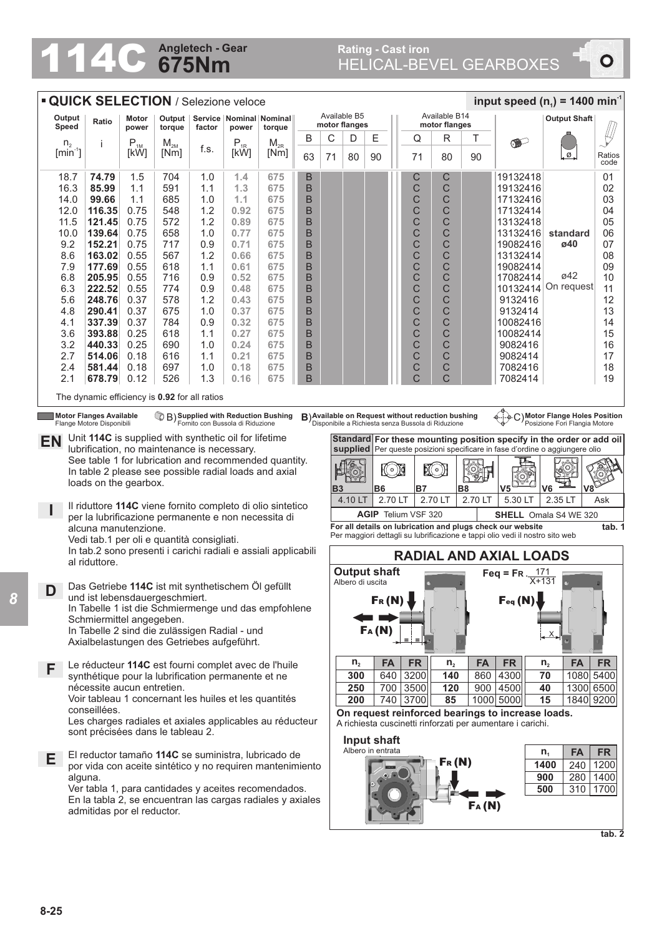## **675Nm Angletech - Gear** Rating - Cast iron **Rating - Cast iron Rating - Cast iron**

## Rating - Cast iron<br>HELICAL-BEVEL GEARBOXES

 $\bullet$ 

|                          |                                                                                                                    |                            | <b>QUICK SELECTION / Selezione veloce</b> |            |              |                                                                                     |                               |    |                  |                            |                                |             |                                                                                                         |           |                                                                              | input speed ( $n_1$ ) = 1400 min <sup>-1</sup>                               |                |
|--------------------------|--------------------------------------------------------------------------------------------------------------------|----------------------------|-------------------------------------------|------------|--------------|-------------------------------------------------------------------------------------|-------------------------------|----|------------------|----------------------------|--------------------------------|-------------|---------------------------------------------------------------------------------------------------------|-----------|------------------------------------------------------------------------------|------------------------------------------------------------------------------|----------------|
| Output<br>Ratio<br>Speed |                                                                                                                    | Motor<br>power             | Output<br>torque                          | factor     | power        | Service   Nominal   Nominal   <br>torque                                            | Available B5<br>motor flanges |    |                  |                            | Available B14<br>motor flanges |             |                                                                                                         |           |                                                                              | <b>Output Shaft</b>                                                          |                |
|                          | n <sub>2</sub><br>j                                                                                                | $\mathsf{P}_{\textsc{1M}}$ | $M_{2M}$                                  |            | $P_{1R}$     | $M_{2R}$                                                                            | B                             | С  | D                | Ε                          |                                | Q           | R                                                                                                       | Τ         | $\bullet$                                                                    |                                                                              |                |
|                          | $[min^{-1}]$                                                                                                       | [kW]                       | [Nm]                                      | f.s.       | [kW]         | [Nm]                                                                                | 63                            | 71 | 80               | 90                         |                                | 71          | 80                                                                                                      | 90        |                                                                              | . Ø                                                                          | Ratios<br>code |
|                          | 74.79<br>18.7                                                                                                      | 1.5                        | 704                                       | 1.0        | 1.4          | 675                                                                                 | B                             |    |                  |                            |                                | $\mathsf C$ | С                                                                                                       |           | 19132418                                                                     |                                                                              | 01             |
|                          | 16.3<br>85.99                                                                                                      | 1.1                        | 591                                       | 1.1        | 1.3          | 675                                                                                 | B                             |    |                  |                            |                                | C           | C                                                                                                       |           | 19132416                                                                     |                                                                              | 02             |
|                          | 14.0<br>99.66                                                                                                      | 1.1                        | 685                                       | 1.0        | 1.1          | 675                                                                                 | B                             |    |                  |                            |                                | $\mathsf C$ | С                                                                                                       |           | 17132416                                                                     |                                                                              | 03             |
|                          | 12.0<br>116.35<br>11.5<br>121.45                                                                                   | 0.75<br>0.75               | 548<br>572                                | 1.2<br>1.2 | 0.92<br>0.89 | 675<br>675                                                                          | B<br>B                        |    |                  |                            |                                | C<br>C      | C<br>C                                                                                                  |           | 17132414<br>13132418                                                         |                                                                              | 04<br>05       |
|                          | 10.0<br>139.64                                                                                                     | 0.75                       | 658                                       | 1.0        | 0.77         | 675                                                                                 | B                             |    |                  |                            |                                | C           | C                                                                                                       |           | 13132416                                                                     | standard                                                                     | 06             |
|                          | 9.2<br>152.21                                                                                                      | 0.75                       | 717                                       | 0.9        | 0.71         | 675                                                                                 | B                             |    |                  |                            |                                | C           | C                                                                                                       |           | 19082416                                                                     | ø40                                                                          | 07             |
|                          | 8.6<br>163.02                                                                                                      | 0.55                       | 567                                       | 1.2        | 0.66         | 675                                                                                 | B                             |    |                  |                            |                                | C           | C                                                                                                       |           | 13132414                                                                     |                                                                              | 08             |
|                          | 177.69<br>7.9                                                                                                      | 0.55                       | 618                                       | 1.1        | 0.61         | 675                                                                                 | B                             |    |                  |                            |                                | C           | C                                                                                                       |           | 19082414                                                                     |                                                                              | 09             |
|                          | 6.8<br>205.95                                                                                                      | 0.55                       | 716                                       | 0.9        | 0.52         | 675                                                                                 | B                             |    |                  |                            |                                | C           | C                                                                                                       |           | 17082414                                                                     | ø42                                                                          | 10             |
|                          | 6.3<br>222.52                                                                                                      | 0.55                       | 774                                       | 0.9        | 0.48         | 675                                                                                 | B                             |    |                  |                            |                                | C           | C                                                                                                       |           | 10132414                                                                     | On request                                                                   | 11             |
|                          | 5.6<br>248.76                                                                                                      | 0.37                       | 578                                       | 1.2        | 0.43         | 675                                                                                 | B                             |    |                  |                            |                                | C           | С                                                                                                       |           | 9132416                                                                      |                                                                              | 12             |
|                          | 4.8<br>290.41<br>337.39                                                                                            | 0.37                       | 675<br>784                                | 1.0        | 0.37<br>0.32 | 675<br>675                                                                          | B                             |    |                  |                            |                                | C           | C                                                                                                       |           | 9132414<br>10082416                                                          |                                                                              | 13<br>14       |
| 4.1                      | 393.88<br>3.6                                                                                                      | 0.37<br>0.25               | 618                                       | 0.9<br>1.1 | 0.27         | 675                                                                                 | B<br>B                        |    |                  |                            |                                | C<br>C      | C<br>С                                                                                                  |           | 10082414                                                                     |                                                                              | 15             |
|                          | 3.2<br>440.33                                                                                                      | 0.25                       | 690                                       | 1.0        | 0.24         | 675                                                                                 | B                             |    |                  |                            |                                | C           | C                                                                                                       |           | 9082416                                                                      |                                                                              | 16             |
|                          | 2.7<br>514.06                                                                                                      | 0.18                       | 616                                       | 1.1        | 0.21         | 675                                                                                 | B                             |    |                  |                            |                                | C           | C                                                                                                       |           | 9082414                                                                      |                                                                              | 17             |
|                          | 2.4<br>581.44                                                                                                      | 0.18                       | 697                                       | 1.0        | 0.18         | 675                                                                                 | B                             |    |                  |                            |                                | C           | С                                                                                                       |           | 7082416                                                                      |                                                                              | 18             |
| 2.1                      | 678.79                                                                                                             | 0.12                       | 526                                       | 1.3        | 0.16         | 675                                                                                 | B                             |    |                  |                            |                                | C           | Ć                                                                                                       |           | 7082414                                                                      |                                                                              | 19             |
|                          | The dynamic efficiency is 0.92 for all ratios                                                                      |                            |                                           |            |              |                                                                                     |                               |    |                  |                            |                                |             |                                                                                                         |           |                                                                              |                                                                              |                |
|                          |                                                                                                                    |                            |                                           |            |              |                                                                                     |                               |    |                  |                            |                                |             |                                                                                                         |           |                                                                              |                                                                              |                |
|                          | Motor Flanges Available<br>Flange Motore Disponibili                                                               |                            |                                           |            |              | <sup>1</sup> B) Supplied with Reduction Bushing<br>Fornito con Bussola di Riduzione |                               |    |                  |                            |                                |             | B) Available on Request without reduction bushing<br>Disponibile a Richiesta senza Bussola di Riduzione |           |                                                                              | C) Motor Flange Holes Position<br>Posizione Fori Flangia Motore              |                |
|                          | Unit 114C is supplied with synthetic oil for lifetime                                                              |                            |                                           |            |              |                                                                                     |                               |    |                  |                            |                                |             |                                                                                                         |           |                                                                              | Standard For these mounting position specify in the order or add oil         |                |
| EN                       | lubrification, no maintenance is necessary.                                                                        |                            |                                           |            |              |                                                                                     |                               |    |                  |                            |                                |             |                                                                                                         |           |                                                                              | supplied Per queste posizioni specificare in fase d'ordine o aggiungere olio |                |
|                          | See table 1 for lubrication and recommended quantity.                                                              |                            |                                           |            |              |                                                                                     |                               |    |                  |                            |                                |             |                                                                                                         |           |                                                                              |                                                                              |                |
|                          | In table 2 please see possible radial loads and axial                                                              |                            |                                           |            |              |                                                                                     |                               |    |                  |                            |                                |             |                                                                                                         |           |                                                                              |                                                                              |                |
|                          |                                                                                                                    |                            |                                           |            |              |                                                                                     |                               |    | <b>LIKO)</b>     |                            | <b>QI</b>                      |             |                                                                                                         | O         |                                                                              | (O                                                                           |                |
|                          | loads on the gearbox.                                                                                              |                            |                                           |            |              |                                                                                     |                               |    | ry               |                            |                                |             | <b>IO</b>                                                                                               | <b>B8</b> | V <sub>5</sub>                                                               | V <sub>6</sub>                                                               |                |
|                          |                                                                                                                    |                            |                                           |            |              |                                                                                     |                               | B3 | 4.10 LT          | <b>B6</b>                  | 2.70 LT                        | <b>B7</b>   | 2.70 LT                                                                                                 | 2.70 LT   | 5.30 LT                                                                      | 2.35 LT                                                                      | Ask            |
|                          | Il riduttore 114C viene fornito completo di olio sintetico                                                         |                            |                                           |            |              |                                                                                     |                               |    |                  | <b>AGIP</b> Telium VSF 320 |                                |             |                                                                                                         |           |                                                                              | <b>SHELL</b> Omala S4 WE 320                                                 |                |
|                          | per la lubrificazione permanente e non necessita di<br>alcuna manutenzione.                                        |                            |                                           |            |              |                                                                                     |                               |    |                  |                            |                                |             |                                                                                                         |           | For all details on lubrication and plugs check our website                   |                                                                              | tab. 1         |
|                          | Vedi tab.1 per oli e quantità consigliati.                                                                         |                            |                                           |            |              |                                                                                     |                               |    |                  |                            |                                |             |                                                                                                         |           | Per maggiori dettagli su lubrificazione e tappi olio vedi il nostro sito web |                                                                              |                |
|                          | In tab.2 sono presenti i carichi radiali e assiali applicabili                                                     |                            |                                           |            |              |                                                                                     |                               |    |                  |                            |                                |             |                                                                                                         |           | <b>RADIAL AND AXIAL LOADS</b>                                                |                                                                              |                |
|                          | al riduttore.                                                                                                      |                            |                                           |            |              |                                                                                     |                               |    |                  | Output shaft               |                                |             |                                                                                                         |           |                                                                              |                                                                              |                |
|                          |                                                                                                                    |                            |                                           |            |              |                                                                                     |                               |    | Albero di uscita |                            |                                |             |                                                                                                         |           | Feq = FR $\frac{171}{X+131}$                                                 |                                                                              |                |
| D                        | Das Getriebe 114C ist mit synthetischem Öl gefüllt<br>und ist lebensdauergeschmiert.                               |                            |                                           |            |              |                                                                                     |                               |    |                  |                            |                                |             |                                                                                                         |           |                                                                              |                                                                              |                |
|                          | In Tabelle 1 ist die Schmiermenge und das empfohlene                                                               |                            |                                           |            |              |                                                                                     |                               |    |                  | Fr(N)                      |                                |             |                                                                                                         |           | Feq(N)                                                                       |                                                                              |                |
|                          | Schmiermittel angegeben.                                                                                           |                            |                                           |            |              |                                                                                     |                               |    |                  |                            |                                |             |                                                                                                         |           |                                                                              |                                                                              |                |
|                          | In Tabelle 2 sind die zulässigen Radial - und                                                                      |                            |                                           |            |              |                                                                                     |                               |    |                  | FA(M)                      |                                | ΞI.<br>$=$  |                                                                                                         |           |                                                                              | <u>X.</u>                                                                    |                |
|                          | Axialbelastungen des Getriebes aufgeführt.                                                                         |                            |                                           |            |              |                                                                                     |                               |    |                  |                            |                                |             |                                                                                                         |           |                                                                              |                                                                              |                |
|                          | Le réducteur 114C est fourni complet avec de l'huile                                                               |                            |                                           |            |              |                                                                                     |                               |    | $n_{2}$          | <b>FA</b>                  |                                | <b>FR</b>   | $n_{2}$                                                                                                 | <b>FA</b> | <b>FR</b>                                                                    | <b>FA</b><br>$n_{2}$                                                         | <b>FR</b>      |
| F                        | synthétique pour la lubrification permanente et ne                                                                 |                            |                                           |            |              |                                                                                     |                               |    | 300              | 640                        |                                | 3200        | 140                                                                                                     |           | 860 4300                                                                     | 1080 5400<br>70                                                              |                |
|                          | nécessite aucun entretien.                                                                                         |                            |                                           |            |              |                                                                                     |                               |    | 250              |                            |                                | 700 3500    | 120                                                                                                     |           | $\overline{900}$   4500                                                      | 1300 6500<br>40                                                              |                |
|                          | Voir tableau 1 concernant les huiles et les quantités                                                              |                            |                                           |            |              |                                                                                     |                               |    | 200              |                            |                                | 740 3700    | 85                                                                                                      |           | 1000 5000                                                                    | 15<br>1840 9200                                                              |                |
|                          | conseillées.                                                                                                       |                            |                                           |            |              |                                                                                     |                               |    |                  |                            |                                |             |                                                                                                         |           | On request reinforced bearings to increase loads.                            |                                                                              |                |
|                          | Les charges radiales et axiales applicables au réducteur                                                           |                            |                                           |            |              |                                                                                     |                               |    |                  |                            |                                |             |                                                                                                         |           | A richiesta cuscinetti rinforzati per aumentare i carichi.                   |                                                                              |                |
|                          | sont précisées dans le tableau 2.                                                                                  |                            |                                           |            |              |                                                                                     |                               |    |                  | Input shaft                |                                |             |                                                                                                         |           |                                                                              |                                                                              |                |
|                          | El reductor tamaño 114C se suministra, lubricado de                                                                |                            |                                           |            |              |                                                                                     |                               |    |                  | Albero in entrata          |                                |             |                                                                                                         |           |                                                                              | <b>FA</b><br>$n_{1}$                                                         | <b>FR</b>      |
| E.                       | por vida con aceite sintético y no requiren mantenimiento                                                          |                            |                                           |            |              |                                                                                     |                               |    |                  |                            |                                |             | Fr (N)                                                                                                  |           |                                                                              | 240 1200<br>1400                                                             |                |
|                          | alguna.                                                                                                            |                            |                                           |            |              |                                                                                     |                               |    |                  |                            |                                |             |                                                                                                         |           |                                                                              | 280   1400<br>900                                                            |                |
|                          | Ver tabla 1, para cantidades y aceites recomendados.<br>En la tabla 2, se encuentran las cargas radiales y axiales |                            |                                           |            |              |                                                                                     |                               |    |                  |                            |                                |             |                                                                                                         |           |                                                                              | 310 1700<br>500                                                              |                |

**TANK**